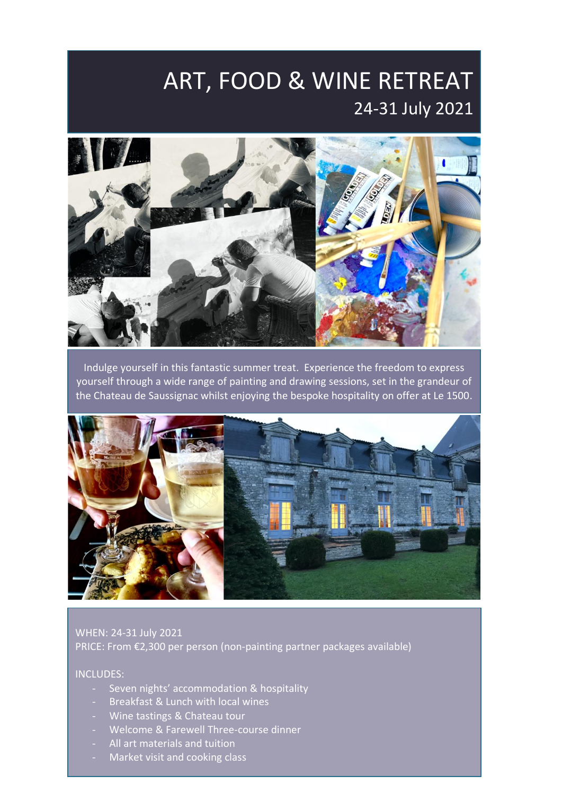## ART, FOOD & WINE RETREAT 24-31 July 2021



Indulge yourself in this fantastic summer treat. Experience the freedom to express yourself through a wide range of painting and drawing sessions, set in the grandeur of the Chateau de Saussignac whilst enjoying the bespoke hospitality on offer at Le 1500.



WHEN: 24-31 July 2021 PRICE: From €2,300 per person (non-painting partner packages available)

#### INCLUDES:

- Seven nights' accommodation & hospitality
- Breakfast & Lunch with local wines
- Wine tastings & Chateau tour
- Welcome & Farewell Three-course dinner
- All art materials and tuition
- Market visit and cooking class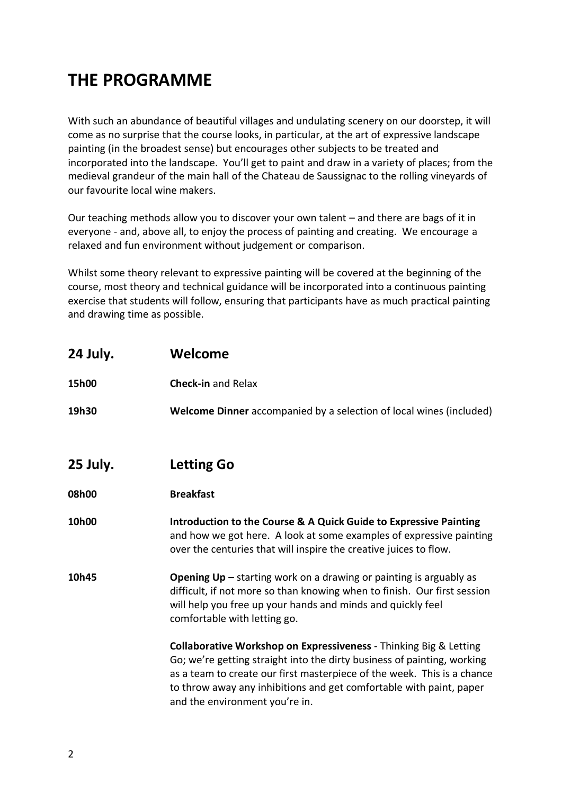#### **THE PROGRAMME**

With such an abundance of beautiful villages and undulating scenery on our doorstep, it will come as no surprise that the course looks, in particular, at the art of expressive landscape painting (in the broadest sense) but encourages other subjects to be treated and incorporated into the landscape. You'll get to paint and draw in a variety of places; from the medieval grandeur of the main hall of the Chateau de Saussignac to the rolling vineyards of our favourite local wine makers.

Our teaching methods allow you to discover your own talent – and there are bags of it in everyone - and, above all, to enjoy the process of painting and creating. We encourage a relaxed and fun environment without judgement or comparison.

Whilst some theory relevant to expressive painting will be covered at the beginning of the course, most theory and technical guidance will be incorporated into a continuous painting exercise that students will follow, ensuring that participants have as much practical painting and drawing time as possible.

| 24 July. | Welcome                                                                                                                                                                                                                                                                                                                          |
|----------|----------------------------------------------------------------------------------------------------------------------------------------------------------------------------------------------------------------------------------------------------------------------------------------------------------------------------------|
| 15h00    | <b>Check-in and Relax</b>                                                                                                                                                                                                                                                                                                        |
| 19h30    | Welcome Dinner accompanied by a selection of local wines (included)                                                                                                                                                                                                                                                              |
| 25 July. | <b>Letting Go</b>                                                                                                                                                                                                                                                                                                                |
| 08h00    | <b>Breakfast</b>                                                                                                                                                                                                                                                                                                                 |
| 10h00    | Introduction to the Course & A Quick Guide to Expressive Painting<br>and how we got here. A look at some examples of expressive painting<br>over the centuries that will inspire the creative juices to flow.                                                                                                                    |
| 10h45    | <b>Opening Up</b> $-$ starting work on a drawing or painting is arguably as<br>difficult, if not more so than knowing when to finish. Our first session<br>will help you free up your hands and minds and quickly feel<br>comfortable with letting go.                                                                           |
|          | Collaborative Workshop on Expressiveness - Thinking Big & Letting<br>Go; we're getting straight into the dirty business of painting, working<br>as a team to create our first masterpiece of the week. This is a chance<br>to throw away any inhibitions and get comfortable with paint, paper<br>and the environment you're in. |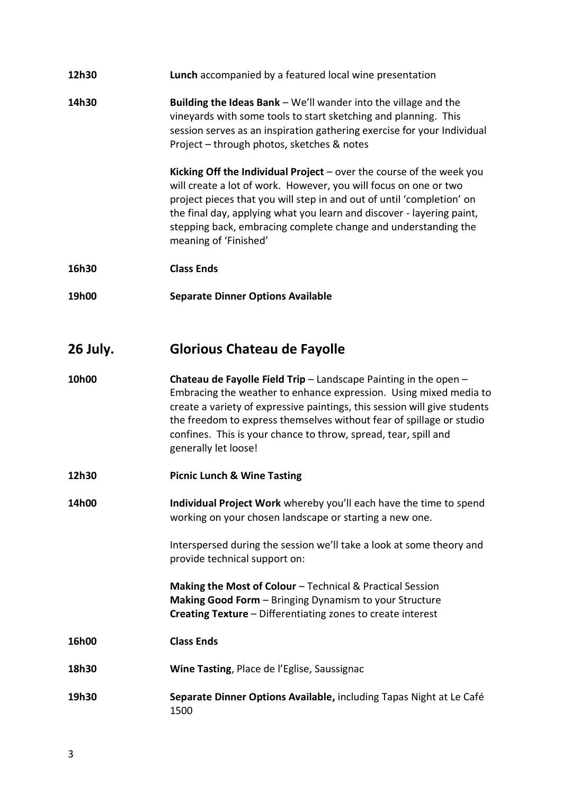| 12h30 | <b>Lunch</b> accompanied by a featured local wine presentation |
|-------|----------------------------------------------------------------|
|-------|----------------------------------------------------------------|

**14h30 Building the Ideas Bank** – We'll wander into the village and the vineyards with some tools to start sketching and planning. This session serves as an inspiration gathering exercise for your Individual Project – through photos, sketches & notes

> **Kicking Off the Individual Project** – over the course of the week you will create a lot of work. However, you will focus on one or two project pieces that you will step in and out of until 'completion' on the final day, applying what you learn and discover - layering paint, stepping back, embracing complete change and understanding the meaning of 'Finished'

- **16h30 Class Ends**
- **19h00 Separate Dinner Options Available**

#### **26 July. Glorious Chateau de Fayolle**

- **10h00 Chateau de Fayolle Field Trip** Landscape Painting in the open Embracing the weather to enhance expression. Using mixed media to create a variety of expressive paintings, this session will give students the freedom to express themselves without fear of spillage or studio confines. This is your chance to throw, spread, tear, spill and generally let loose!
- **12h30 Picnic Lunch & Wine Tasting**
- **14h00 Individual Project Work** whereby you'll each have the time to spend working on your chosen landscape or starting a new one.

Interspersed during the session we'll take a look at some theory and provide technical support on:

**Making the Most of Colour** – Technical & Practical Session **Making Good Form** – Bringing Dynamism to your Structure **Creating Texture** – Differentiating zones to create interest

- **16h00 Class Ends**
- **18h30 Wine Tasting**, Place de l'Eglise, Saussignac
- **19h30 Separate Dinner Options Available,** including Tapas Night at Le Café 1500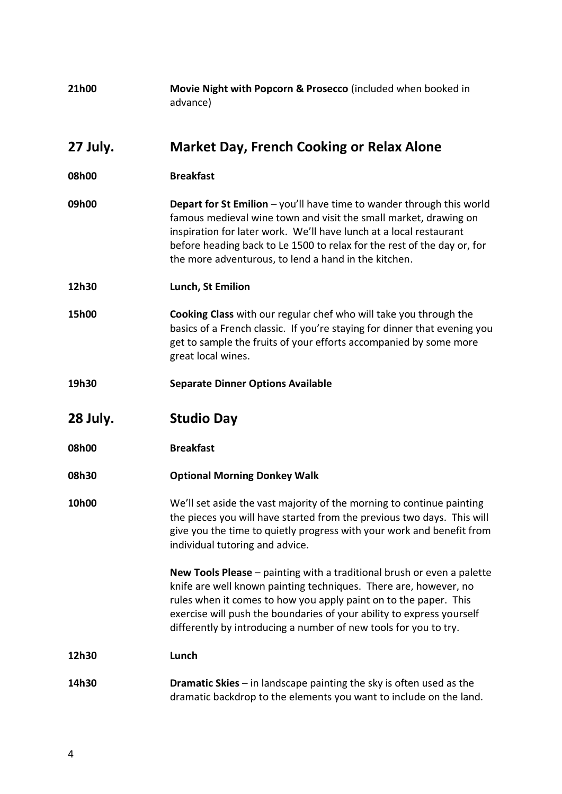| 21h00    | Movie Night with Popcorn & Prosecco (included when booked in<br>advance)                                                                                                                                                                                                                                                                                    |
|----------|-------------------------------------------------------------------------------------------------------------------------------------------------------------------------------------------------------------------------------------------------------------------------------------------------------------------------------------------------------------|
| 27 July. | <b>Market Day, French Cooking or Relax Alone</b>                                                                                                                                                                                                                                                                                                            |
| 08h00    | <b>Breakfast</b>                                                                                                                                                                                                                                                                                                                                            |
| 09h00    | <b>Depart for St Emilion</b> $-$ you'll have time to wander through this world<br>famous medieval wine town and visit the small market, drawing on<br>inspiration for later work. We'll have lunch at a local restaurant<br>before heading back to Le 1500 to relax for the rest of the day or, for<br>the more adventurous, to lend a hand in the kitchen. |
| 12h30    | Lunch, St Emilion                                                                                                                                                                                                                                                                                                                                           |
| 15h00    | Cooking Class with our regular chef who will take you through the<br>basics of a French classic. If you're staying for dinner that evening you<br>get to sample the fruits of your efforts accompanied by some more<br>great local wines.                                                                                                                   |
| 19h30    | <b>Separate Dinner Options Available</b>                                                                                                                                                                                                                                                                                                                    |
| 28 July. | <b>Studio Day</b>                                                                                                                                                                                                                                                                                                                                           |
| 08h00    | <b>Breakfast</b>                                                                                                                                                                                                                                                                                                                                            |
| 08h30    | <b>Optional Morning Donkey Walk</b>                                                                                                                                                                                                                                                                                                                         |
| 10h00    | We'll set aside the vast majority of the morning to continue painting<br>the pieces you will have started from the previous two days. This will<br>give you the time to quietly progress with your work and benefit from<br>individual tutoring and advice.                                                                                                 |
|          | New Tools Please - painting with a traditional brush or even a palette<br>knife are well known painting techniques. There are, however, no<br>rules when it comes to how you apply paint on to the paper. This<br>exercise will push the boundaries of your ability to express yourself<br>differently by introducing a number of new tools for you to try. |
| 12h30    | Lunch                                                                                                                                                                                                                                                                                                                                                       |
| 14h30    | <b>Dramatic Skies</b> $-$ in landscape painting the sky is often used as the<br>dramatic backdrop to the elements you want to include on the land.                                                                                                                                                                                                          |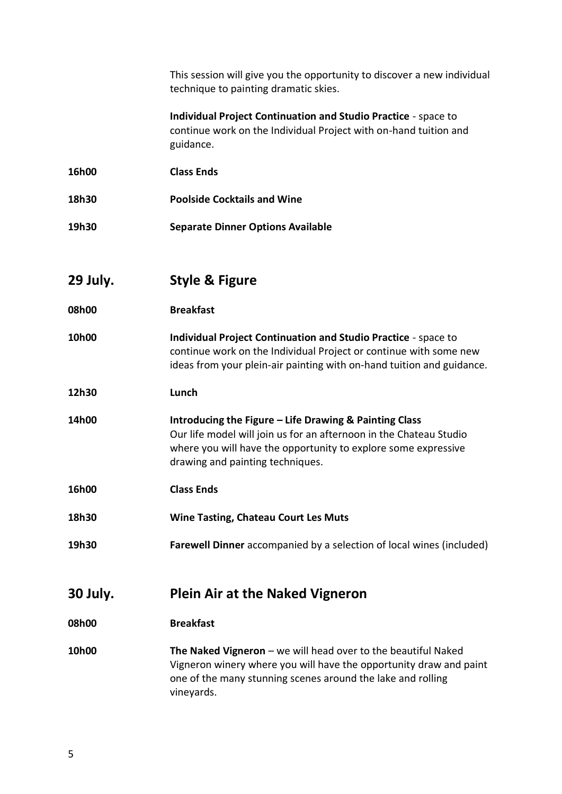| This session will give you the opportunity to discover a new individual<br>technique to painting dramatic skies.                          |
|-------------------------------------------------------------------------------------------------------------------------------------------|
| <b>Individual Project Continuation and Studio Practice - space to</b><br>continue work on the Individual Droiget with on hand tuition and |

continue work on the Individual Project with on-hand tuition and guidance.

- **16h00 Class Ends**
- **18h30 Poolside Cocktails and Wine**
- **19h30 Separate Dinner Options Available**
- **29 July. Style & Figure**
- **08h00 Breakfast**
- **10h00 Individual Project Continuation and Studio Practice** space to continue work on the Individual Project or continue with some new ideas from your plein-air painting with on-hand tuition and guidance.
- **12h30 Lunch**
- **14h00 Introducing the Figure – Life Drawing & Painting Class** Our life model will join us for an afternoon in the Chateau Studio where you will have the opportunity to explore some expressive drawing and painting techniques.
- **16h00 Class Ends**
- **18h30 Wine Tasting, Chateau Court Les Muts**
- **19h30 Farewell Dinner** accompanied by a selection of local wines (included)
- **30 July. Plein Air at the Naked Vigneron**
- **08h00 Breakfast**
- **10h00 The Naked Vigneron** we will head over to the beautiful Naked Vigneron winery where you will have the opportunity draw and paint one of the many stunning scenes around the lake and rolling vineyards.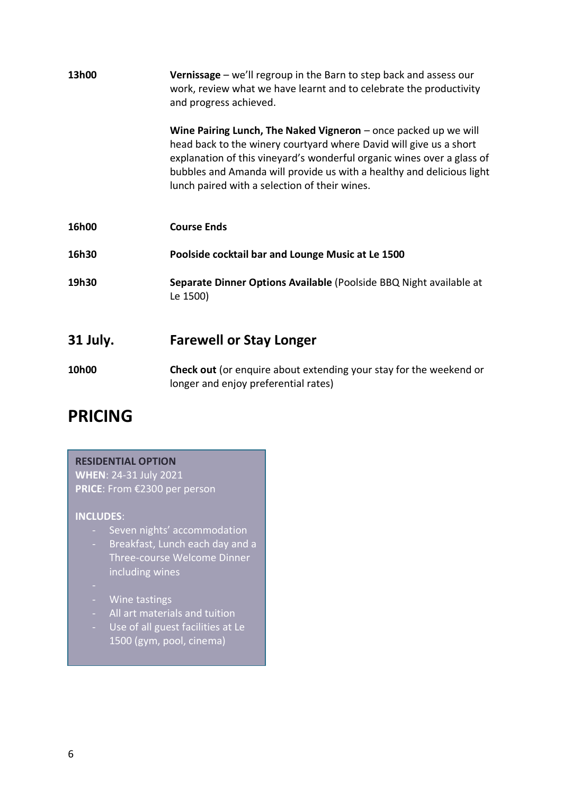| 13h00    | Vernissage - we'll regroup in the Barn to step back and assess our<br>work, review what we have learnt and to celebrate the productivity<br>and progress achieved.                                                                                                                                                                          |
|----------|---------------------------------------------------------------------------------------------------------------------------------------------------------------------------------------------------------------------------------------------------------------------------------------------------------------------------------------------|
|          | Wine Pairing Lunch, The Naked Vigneron $-$ once packed up we will<br>head back to the winery courtyard where David will give us a short<br>explanation of this vineyard's wonderful organic wines over a glass of<br>bubbles and Amanda will provide us with a healthy and delicious light<br>lunch paired with a selection of their wines. |
| 16h00    | <b>Course Ends</b>                                                                                                                                                                                                                                                                                                                          |
| 16h30    | Poolside cocktail bar and Lounge Music at Le 1500                                                                                                                                                                                                                                                                                           |
| 19h30    | Separate Dinner Options Available (Poolside BBQ Night available at<br>Le 1500)                                                                                                                                                                                                                                                              |
| 31 July. | <b>Farewell or Stay Longer</b>                                                                                                                                                                                                                                                                                                              |
| 10h00    | <b>Check out</b> (or enquire about extending your stay for the weekend or<br>longer and enjoy preferential rates)                                                                                                                                                                                                                           |

#### **PRICING**

**RESIDENTIAL OPTION WHEN**: 24-31 July 2021 **PRICE**: From €2300 per person **INCLUDES**: - Seven nights' accommodation - Breakfast, Lunch each day and a Three-course Welcome Dinner including wines - Wine tastings - All art materials and tuition - Use of all guest facilities at Le 1500 (gym, pool, cinema)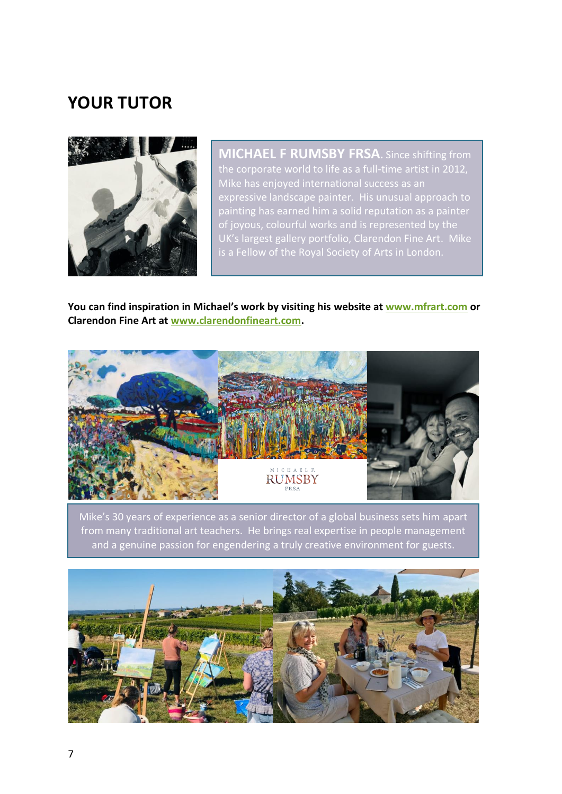#### **YOUR TUTOR**



**MICHAEL F RUMSBY FRSA.** Since shifting from the corporate world to life as a full-time artist in 2012, Mike has enjoyed international success as an expressive landscape painter. His unusual approach to painting has earned him a solid reputation as a painter of joyous, colourful works and is represented by the UK's largest gallery portfolio, Clarendon Fine Art. Mike is a Fellow of the Royal Society of Arts in London.

**You can find inspiration in Michael's work by visiting his website a[t www.mfrart.com](http://www.mfrart.com/) or Clarendon Fine Art at [www.clarendonfineart.com.](http://www.clarendonfineart.com/)**



Mike's 30 years of experience as a senior director of a global business sets him apart from many traditional art teachers. He brings real expertise in people management and a genuine passion for engendering a truly creative environment for guests.

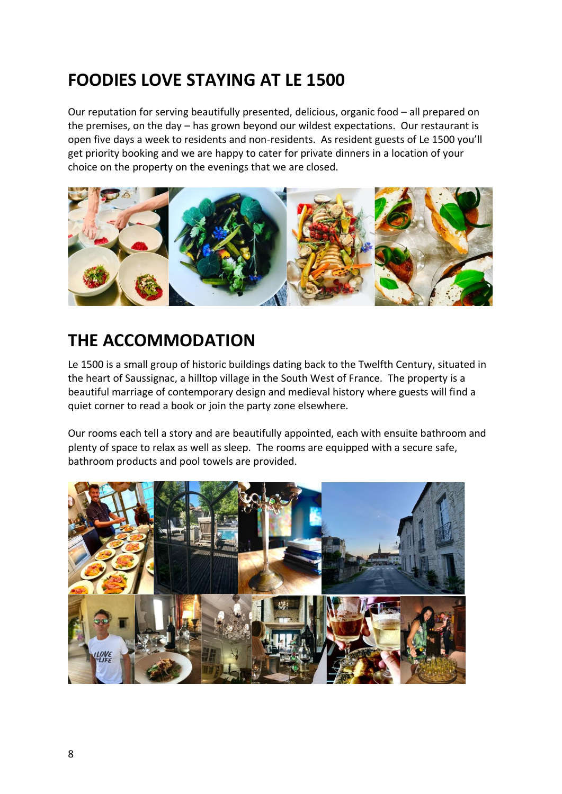#### **FOODIES LOVE STAYING AT LE 1500**

Our reputation for serving beautifully presented, delicious, organic food – all prepared on the premises, on the day – has grown beyond our wildest expectations. Our restaurant is open five days a week to residents and non-residents. As resident guests of Le 1500 you'll get priority booking and we are happy to cater for private dinners in a location of your choice on the property on the evenings that we are closed.



#### **THE ACCOMMODATION**

Le 1500 is a small group of historic buildings dating back to the Twelfth Century, situated in the heart of Saussignac, a hilltop village in the South West of France. The property is a beautiful marriage of contemporary design and medieval history where guests will find a quiet corner to read a book or join the party zone elsewhere.

Our rooms each tell a story and are beautifully appointed, each with ensuite bathroom and plenty of space to relax as well as sleep. The rooms are equipped with a secure safe, bathroom products and pool towels are provided.